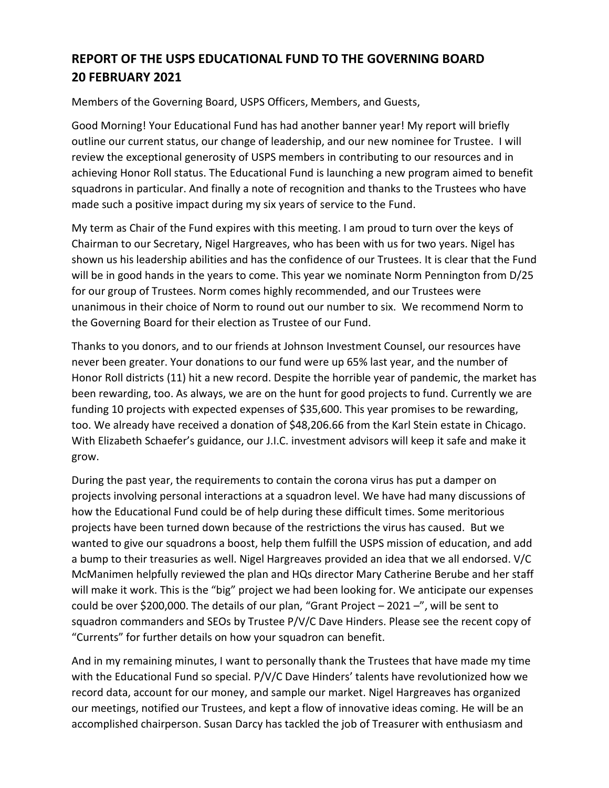## **REPORT OF THE USPS EDUCATIONAL FUND TO THE GOVERNING BOARD 20 FEBRUARY 2021**

Members of the Governing Board, USPS Officers, Members, and Guests,

Good Morning! Your Educational Fund has had another banner year! My report will briefly outline our current status, our change of leadership, and our new nominee for Trustee. I will review the exceptional generosity of USPS members in contributing to our resources and in achieving Honor Roll status. The Educational Fund is launching a new program aimed to benefit squadrons in particular. And finally a note of recognition and thanks to the Trustees who have made such a positive impact during my six years of service to the Fund.

My term as Chair of the Fund expires with this meeting. I am proud to turn over the keys of Chairman to our Secretary, Nigel Hargreaves, who has been with us for two years. Nigel has shown us his leadership abilities and has the confidence of our Trustees. It is clear that the Fund will be in good hands in the years to come. This year we nominate Norm Pennington from D/25 for our group of Trustees. Norm comes highly recommended, and our Trustees were unanimous in their choice of Norm to round out our number to six. We recommend Norm to the Governing Board for their election as Trustee of our Fund.

Thanks to you donors, and to our friends at Johnson Investment Counsel, our resources have never been greater. Your donations to our fund were up 65% last year, and the number of Honor Roll districts (11) hit a new record. Despite the horrible year of pandemic, the market has been rewarding, too. As always, we are on the hunt for good projects to fund. Currently we are funding 10 projects with expected expenses of \$35,600. This year promises to be rewarding, too. We already have received a donation of \$48,206.66 from the Karl Stein estate in Chicago. With Elizabeth Schaefer's guidance, our J.I.C. investment advisors will keep it safe and make it grow.

During the past year, the requirements to contain the corona virus has put a damper on projects involving personal interactions at a squadron level. We have had many discussions of how the Educational Fund could be of help during these difficult times. Some meritorious projects have been turned down because of the restrictions the virus has caused. But we wanted to give our squadrons a boost, help them fulfill the USPS mission of education, and add a bump to their treasuries as well. Nigel Hargreaves provided an idea that we all endorsed. V/C McManimen helpfully reviewed the plan and HQs director Mary Catherine Berube and her staff will make it work. This is the "big" project we had been looking for. We anticipate our expenses could be over \$200,000. The details of our plan, "Grant Project  $-2021 -$ ", will be sent to squadron commanders and SEOs by Trustee P/V/C Dave Hinders. Please see the recent copy of "Currents" for further details on how your squadron can benefit.

And in my remaining minutes, I want to personally thank the Trustees that have made my time with the Educational Fund so special. P/V/C Dave Hinders' talents have revolutionized how we record data, account for our money, and sample our market. Nigel Hargreaves has organized our meetings, notified our Trustees, and kept a flow of innovative ideas coming. He will be an accomplished chairperson. Susan Darcy has tackled the job of Treasurer with enthusiasm and